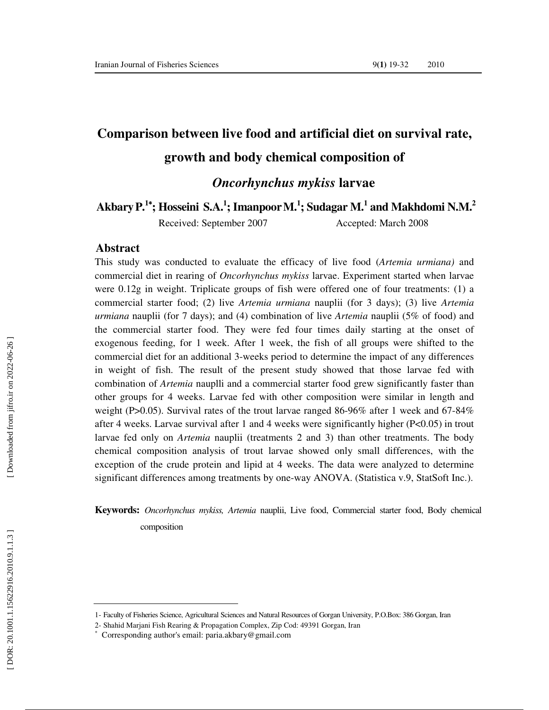# **Comparison between live food and artificial diet on survival rate, growth and body chemical composition of**

*Oncorhynchus mykiss* **larvae** 

**AkbaryP. <sup>1</sup>**<sup>∗</sup>**; Hosseini S.A. 1 ; ImanpoorM. 1 ; Sudagar M. 1 and Makhdomi N.M.<sup>2</sup>**

Received: September 2007 Accepted: March 2008

#### **Abstract**

This study was conducted to evaluate the efficacy of live food (*Artemia urmiana)* and commercial diet in rearing of *Oncorhynchus mykiss* larvae. Experiment started when larvae were 0.12g in weight. Triplicate groups of fish were offered one of four treatments: (1) a commercial starter food; (2) live *Artemia urmiana* nauplii (for 3 days); (3) live *Artemia urmiana* nauplii (for 7 days); and (4) combination of live *Artemia* nauplii (5% of food) and the commercial starter food. They were fed four times daily starting at the onset of exogenous feeding, for 1 week. After 1 week, the fish of all groups were shifted to the commercial diet for an additional 3-weeks period to determine the impact of any differences in weight of fish. The result of the present study showed that those larvae fed with combination of *Artemia* nauplli and a commercial starter food grew significantly faster than other groups for 4 weeks. Larvae fed with other composition were similar in length and weight (P $>0.05$ ). Survival rates of the trout larvae ranged 86-96% after 1 week and 67-84% after 4 weeks. Larvae survival after 1 and 4 weeks were significantly higher  $(P<0.05)$  in trout larvae fed only on *Artemia* nauplii (treatments 2 and 3) than other treatments. The body chemical composition analysis of trout larvae showed only small differences, with the exception of the crude protein and lipid at 4 weeks. The data were analyzed to determine significant differences among treatments by one-way ANOVA. (Statistica v.9, StatSoft Inc.).

**Keywords:** *Oncorhynchus mykiss, Artemia* nauplii, Live food, Commercial starter food, Body chemical composition

<sup>1-</sup> Faculty of Fisheries Science, Agricultural Sciences and Natural Resources of Gorgan University, P.O.Box: 386 Gorgan, Iran

<sup>2-</sup> Shahid Marjani Fish Rearing & Propagation Complex, Zip Cod: 49391 Gorgan, Iran <sup>∗</sup>

Corresponding author's email: paria.akbary@gmail.com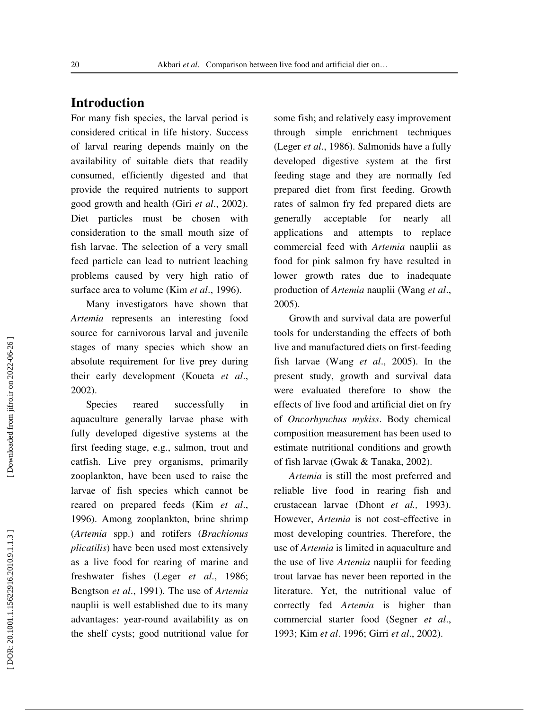# **Introduction**

For many fish species, the larval period is considered critical in life history. Success of larval rearing depends mainly on the availability of suitable diets that readily consumed, efficiently digested and that provide the required nutrients to support good growth and health (Giri *et al*., 2002). Diet particles must be chosen with consideration to the small mouth size of fish larvae. The selection of a very small feed particle can lead to nutrient leaching problems caused by very high ratio of surface area to volume (Kim *et al*., 1996).

Many investigators have shown that *Artemia* represents an interesting food source for carnivorous larval and juvenile stages of many species which show an absolute requirement for live prey during their early development (Koueta *et al*., 2002).

Species reared successfully in aquaculture generally larvae phase with fully developed digestive systems at the first feeding stage, e.g., salmon, trout and catfish. Live prey organisms, primarily zooplankton, have been used to raise the larvae of fish species which cannot be reared on prepared feeds (Kim *et al*., 1996). Among zooplankton, brine shrimp (*Artemia* spp.) and rotifers (*Brachionus plicatilis*) have been used most extensively as a live food for rearing of marine and freshwater fishes (Leger *et al*., 1986; Bengtson *et al*., 1991). The use of *Artemia* nauplii is well established due to its many advantages: year-round availability as on the shelf cysts; good nutritional value for

some fish; and relatively easy improvement through simple enrichment techniques (Leger *et al*., 1986). Salmonids have a fully developed digestive system at the first feeding stage and they are normally fed prepared diet from first feeding. Growth rates of salmon fry fed prepared diets are generally acceptable for nearly all applications and attempts to replace commercial feed with *Artemia* nauplii as food for pink salmon fry have resulted in lower growth rates due to inadequate production of *Artemia* nauplii (Wang *et al*., 2005).

Growth and survival data are powerful tools for understanding the effects of both live and manufactured diets on first-feeding fish larvae (Wang *et al*., 2005). In the present study, growth and survival data were evaluated therefore to show the effects of live food and artificial diet on fry of *Oncorhynchus mykiss*. Body chemical composition measurement has been used to estimate nutritional conditions and growth of fish larvae (Gwak & Tanaka, 2002).

*Artemia* is still the most preferred and reliable live food in rearing fish and crustacean larvae (Dhont *et al.,* 1993). However, *Artemia* is not cost-effective in most developing countries. Therefore, the use of *Artemia* is limited in aquaculture and the use of live *Artemia* nauplii for feeding trout larvae has never been reported in the literature. Yet, the nutritional value of correctly fed *Artemia* is higher than commercial starter food (Segner *et al*., 1993; Kim *et al*. 1996; Girri *et al*., 2002).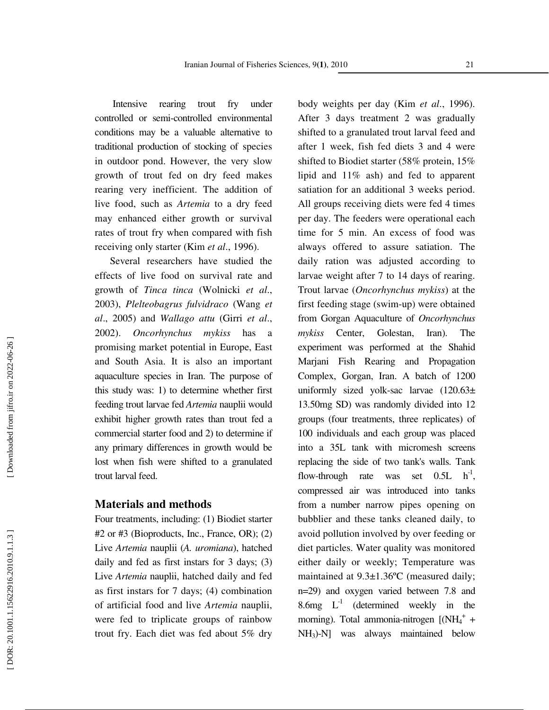Intensive rearing trout fry under controlled or semi-controlled environmental conditions may be a valuable alternative to traditional production of stocking of species in outdoor pond. However, the very slow growth of trout fed on dry feed makes rearing very inefficient. The addition of live food, such as *Artemia* to a dry feed may enhanced either growth or survival rates of trout fry when compared with fish receiving only starter (Kim *et al*., 1996).

Several researchers have studied the effects of live food on survival rate and growth of *Tinca tinca* (Wolnicki *et al*., 2003), *Plelteobagrus fulvidraco* (Wang *et al*., 2005) and *Wallago attu* (Girri *et al*., 2002). *Oncorhynchus mykiss* has a promising market potential in Europe, East and South Asia. It is also an important aquaculture species in Iran. The purpose of this study was: 1) to determine whether first feeding trout larvae fed *Artemia* nauplii would exhibit higher growth rates than trout fed a commercial starter food and 2) to determine if any primary differences in growth would be lost when fish were shifted to a granulated trout larval feed.

## **Materials and methods**

Four treatments, including: (1) Biodiet starter #2 or #3 (Bioproducts, Inc., France, OR); (2) Live *Artemia* nauplii (*A. uromiana*), hatched daily and fed as first instars for 3 days; (3) Live *Artemia* nauplii, hatched daily and fed as first instars for 7 days; (4) combination of artificial food and live *Artemia* nauplii, were fed to triplicate groups of rainbow trout fry. Each diet was fed about 5% dry

body weights per day (Kim *et al*., 1996). After 3 days treatment 2 was gradually shifted to a granulated trout larval feed and after 1 week, fish fed diets 3 and 4 were shifted to Biodiet starter (58% protein, 15% lipid and 11% ash) and fed to apparent satiation for an additional 3 weeks period. All groups receiving diets were fed 4 times per day. The feeders were operational each time for 5 min. An excess of food was always offered to assure satiation. The daily ration was adjusted according to larvae weight after 7 to 14 days of rearing. Trout larvae (*Oncorhynchus mykiss*) at the first feeding stage (swim-up) were obtained from Gorgan Aquaculture of *Oncorhynchus mykiss* Center, Golestan, Iran). The experiment was performed at the Shahid Marjani Fish Rearing and Propagation Complex, Gorgan, Iran. A batch of 1200 uniformly sized yolk-sac larvae (120.63± 13.50mg SD) was randomly divided into 12 groups (four treatments, three replicates) of 100 individuals and each group was placed into a 35L tank with micromesh screens replacing the side of two tank's walls. Tank flow-through rate was set  $0.5L \text{ h}^{-1}$ . compressed air was introduced into tanks from a number narrow pipes opening on bubblier and these tanks cleaned daily, to avoid pollution involved by over feeding or diet particles. Water quality was monitored either daily or weekly; Temperature was maintained at 9.3±1.36ºC (measured daily; n=29) and oxygen varied between 7.8 and 8.6mg  $L^{-1}$  (determined weekly in the morning). Total ammonia-nitrogen [(NH<sub>4</sub><sup>+</sup> + NH <sup>3</sup>)-N] was always maintained below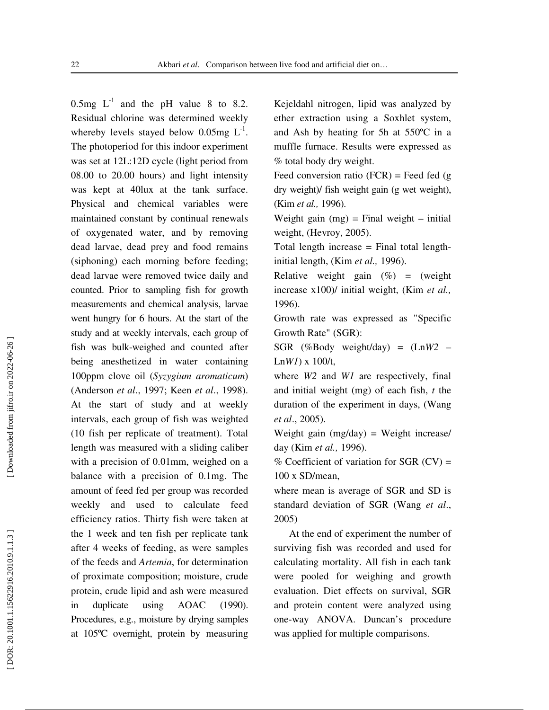0.5mg  $L^{-1}$  and the pH value 8 to 8.2. Residual chlorine was determined weekly whereby levels stayed below 0.05mg  $L^{-1}$ . The photoperiod for this indoor experiment was set at 12L:12D cycle (light period from 08.00 to 20.00 hours) and light intensity was kept at 40lux at the tank surface. Physical and chemical variables were maintained constant by continual renewals of oxygenated water, and by removing dead larvae, dead prey and food remains (siphoning) each morning before feeding; dead larvae were removed twice daily and counted. Prior to sampling fish for growth measurements and chemical analysis, larvae went hungry for 6 hours. At the start of the study and at weekly intervals, each group of fish was bulk-weighed and counted after being anesthetized in water containing 100ppm clove oil (*Syzygium aromaticum*) (Anderson *et al*., 1997; Keen *et al*., 1998). At the start of study and at weekly intervals, each group of fish was weighted (10 fish per replicate of treatment). Total length was measured with a sliding caliber with a precision of 0.01mm, weighed on a balance with a precision of 0.1mg. The amount of feed fed per group was recorded weekly and used to calculate feed efficiency ratios. Thirty fish were taken at the 1 week and ten fish per replicate tank after 4 weeks of feeding, as were samples of the feeds and *Artemia*, for determination of proximate composition; moisture, crude protein, crude lipid and ash were measured in duplicate using AOAC (1990). Procedures, e.g., moisture by drying samples at 105ºC overnight, protein by measuring

Kejeldahl nitrogen, lipid was analyzed by ether extraction using a Soxhlet system, and Ash by heating for 5h at 550ºC in a muffle furnace. Results were expressed as % total body dry weight.

Feed conversion ratio  $(FCR)$  = Feed fed (g) dry weight)/ fish weight gain (g wet weight), (Kim *et al.,* 1996).

Weight gain  $(mg)$  = Final weight – initial weight, (Hevroy, 2005).

Total length increase = Final total lengthinitial length, (Kim *et al.,* 1996).

Relative weight gain  $(\%)$  = (weight increase x100)/ initial weight, (Kim *et al.,* 1996).

Growth rate was expressed as "Specific Growth Rate" (SGR):

SGR (%Body weight/day) = (Ln*W2* – Ln*W1*) x 100/t,

where *W2* and *W1* are respectively, final and initial weight (mg) of each fish, *t* the duration of the experiment in days, (Wang *et al*., 2005).

Weight gain  $(mg/day) = Weight increase/$ day (Kim *et al.,* 1996).

% Coefficient of variation for  $SGR$  (CV) = 100 x SD/mean,

where mean is average of SGR and SD is standard deviation of SGR (Wang *et al*., 2005)

At the end of experiment the number of surviving fish was recorded and used for calculating mortality. All fish in each tank were pooled for weighing and growth evaluation. Diet effects on survival, SGR and protein content were analyzed using one-way ANOVA. Duncan's procedure was applied for multiple comparisons.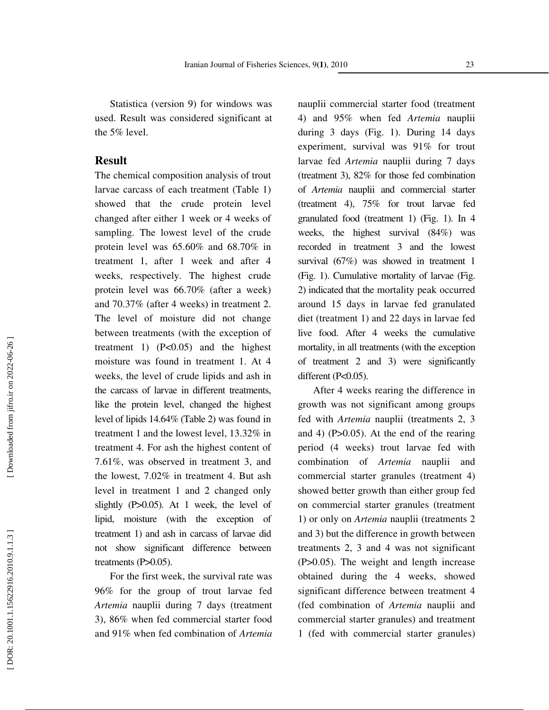Statistica (version 9) for windows was used. Result was considered significant at the 5% level.

#### **Result**

The chemical composition analysis of trout larvae carcass of each treatment (Table 1) showed that the crude protein level changed after either 1 week or 4 weeks of sampling. The lowest level of the crude protein level was 65.60% and 68.70% in treatment 1, after 1 week and after 4 weeks, respectively. The highest crude protein level was 66.70% (after a week) and 70.37% (after 4 weeks) in treatment 2. The level of moisture did not change between treatments (with the exception of treatment 1)  $(P<0.05)$  and the highest moisture was found in treatment 1. At 4 weeks, the level of crude lipids and ash in the carcass of larvae in different treatments, like the protein level, changed the highest level of lipids 14.64% (Table 2) was found in treatment 1 and the lowest level, 13.32% in treatment 4. For ash the highest content of 7.61%, was observed in treatment 3, and the lowest, 7.02% in treatment 4. But ash level in treatment 1 and 2 changed only slightly (P>0.05). At 1 week, the level of lipid, moisture (with the exception of treatment 1) and ash in carcass of larvae did not show significant difference between treatments  $(P>0.05)$ .

For the first week, the survival rate was 96% for the group of trout larvae fed *Artemia* nauplii during 7 days (treatment 3), 86% when fed commercial starter food and 91% when fed combination of *Artemia*

nauplii commercial starter food (treatment 4) and 95% when fed *Artemia* nauplii during 3 days (Fig. 1). During 14 days experiment, survival was 91% for trout larvae fed *Artemia* nauplii during 7 days (treatment 3), 82% for those fed combination of *Artemia* nauplii and commercial starter (treatment 4), 75% for trout larvae fed granulated food (treatment 1) (Fig. 1). In 4 weeks, the highest survival (84%) was recorded in treatment 3 and the lowest survival (67%) was showed in treatment 1 (Fig. 1). Cumulative mortality of larvae (Fig. 2) indicated that the mortality peak occurred around 15 days in larvae fed granulated diet (treatment 1) and 22 days in larvae fed live food. After 4 weeks the cumulative mortality, in all treatments (with the exception of treatment 2 and 3) were significantly different (P<0.05).

After 4 weeks rearing the difference in growth was not significant among groups fed with *Artemia* nauplii (treatments 2, 3 and 4) (P>0.05). At the end of the rearing period (4 weeks) trout larvae fed with combination of *Artemia* nauplii and commercial starter granules (treatment 4) showed better growth than either group fed on commercial starter granules (treatment 1) or only on *Artemia* nauplii (treatments 2 and 3) but the difference in growth between treatments 2, 3 and 4 was not significant (P>0.05). The weight and length increase obtained during the 4 weeks, showed significant difference between treatment 4 (fed combination of *Artemia* nauplii and commercial starter granules) and treatment 1 (fed with commercial starter granules)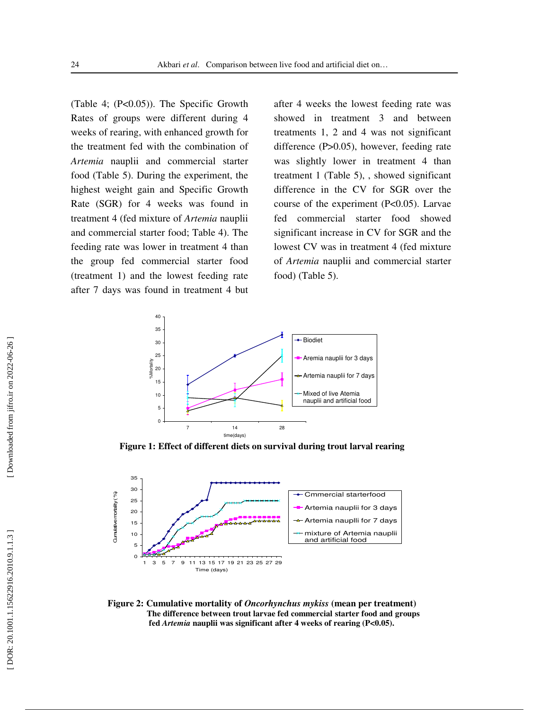(Table 4; (P<0.05)). The Specific Growth Rates of groups were different during 4 weeks of rearing, with enhanced growth for the treatment fed with the combination of *Artemia* nauplii and commercial starter food (Table 5). During the experiment, the highest weight gain and Specific Growth Rate (SGR) for 4 weeks was found in treatment 4 (fed mixture of *Artemia* nauplii and commercial starter food; Table 4). The feeding rate was lower in treatment 4 than the group fed commercial starter food (treatment 1) and the lowest feeding rate after 7 days was found in treatment 4 but

after 4 weeks the lowest feeding rate was showed in treatment 3 and between treatments 1, 2 and 4 was not significant difference (P>0.05), however, feeding rate was slightly lower in treatment 4 than treatment 1 (Table 5), , showed significant difference in the CV for SGR over the course of the experiment (P<0.05). Larvae fed commercial starter food showed significant increase in CV for SGR and the lowest CV was in treatment 4 (fed mixture of *Artemia* nauplii and commercial starter food) (Table 5).



**Figure 1: Effect of different diets on survival during trout larval rearing**



**Figure 2: Cumulative mortality of** *Oncorhynchus mykiss* **(mean per treatment) The difference between trout larvae fed commercial starter food and groups fed** *Artemia* **nauplii was significant after 4 weeks of rearing (P<0.05).**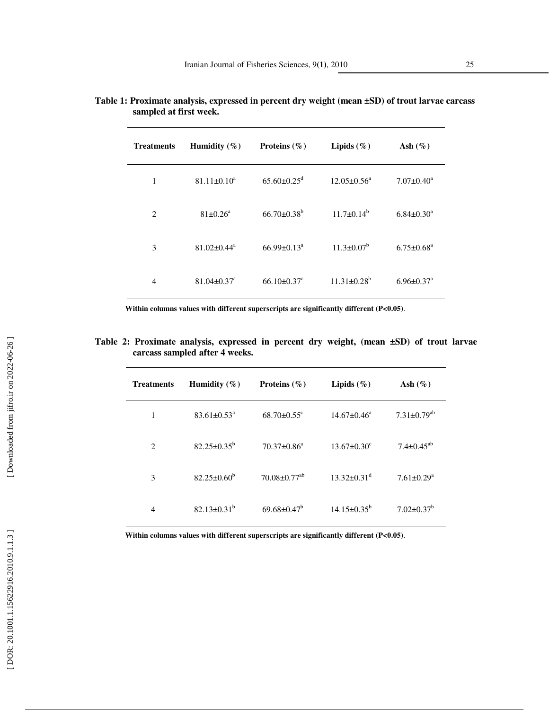| <b>Treatments</b> | Humidity $(\% )$              | Proteins $(\% )$              | Lipids $(\%)$      | Ash $(\%)$                   |
|-------------------|-------------------------------|-------------------------------|--------------------|------------------------------|
| 1                 | $81.11 \pm 0.10^a$            | $65.60 \pm 0.25$ <sup>d</sup> | $12.05 \pm 0.56^a$ | $7.07 \pm 0.40^a$            |
| $\overline{2}$    | $81 \pm 0.26^a$               | $66.70 + 0.38^b$              | $11.7+0.14^b$      | $6.84 \pm 0.30$ <sup>a</sup> |
| 3                 | $81.02 \pm 0.44$ <sup>a</sup> | $66.99 \pm 0.13$ <sup>a</sup> | $11.3 \pm 0.07^b$  | $6.75 \pm 0.68^{\text{a}}$   |
| $\overline{4}$    | $81.04 \pm 0.37$ <sup>a</sup> | $66.10 \pm 0.37$ <sup>c</sup> | $11.31 \pm 0.28^b$ | $6.96 \pm 0.37$ <sup>a</sup> |

**Table 1: Proximate analysis, expressed in percent dry weight (mean ±SD) of trout larvae carcass sampled at first week.** 

**Within columns values with different superscripts are significantly different (P<0.05)**.

**Table 2: Proximate analysis, expressed in percent dry weight, (mean ±SD) of trout larvae carcass sampled after 4 weeks.** 

| Treatments     | Humidity $(\%)$               | Proteins $(\% )$               | Lipids $(\%)$                 | Ash $(\%)$                    |
|----------------|-------------------------------|--------------------------------|-------------------------------|-------------------------------|
| 1              | $83.61 \pm 0.53$ <sup>a</sup> | $68.70 \pm 0.55$ <sup>c</sup>  | $14.67 \pm 0.46^a$            | $7.31 \pm 0.79$ <sup>ab</sup> |
| $\overline{c}$ | $82.25 \pm 0.35^b$            | $70.37 \pm 0.86^a$             | $13.67 \pm 0.30^{\circ}$      | $7.4 \pm 0.45^{ab}$           |
| 3              | $82.25 \pm 0.60^{\circ}$      | $70.08 \pm 0.77$ <sup>ab</sup> | $13.32 \pm 0.31$ <sup>d</sup> | $7.61 \pm 0.29$ <sup>a</sup>  |
| $\overline{4}$ | $82.13 \pm 0.31^b$            | $69.68 \pm 0.47^b$             | $14.15 \pm 0.35^b$            | $7.02 \pm 0.37$ <sup>b</sup>  |

**Within columns values with different superscripts are significantly different (P<0.05)**.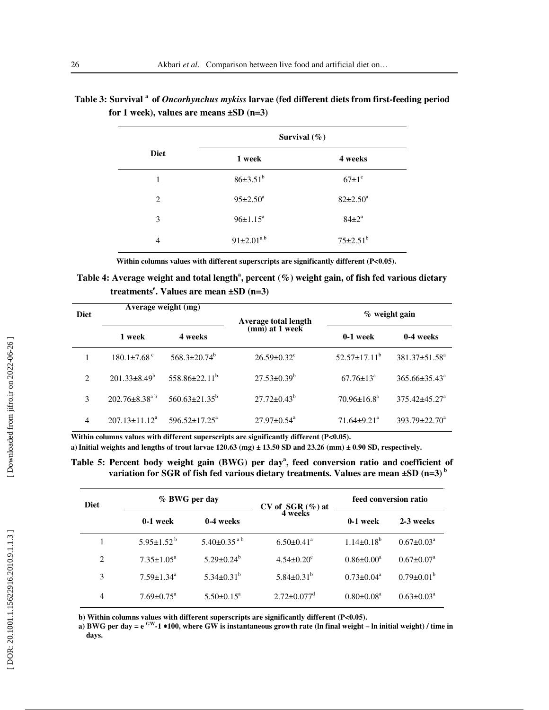|                | Survival $(\%)$       |                         |  |  |
|----------------|-----------------------|-------------------------|--|--|
| <b>Diet</b>    | 1 week                | 4 weeks                 |  |  |
| 1              | $86\pm3.51^{b}$       | $67 \pm 1$ <sup>c</sup> |  |  |
| $\overline{c}$ | $95 \pm 2.50^{\circ}$ | $82{\pm}2.50^a$         |  |  |
| 3              | $96 \pm 1.15^a$       | $84\pm2^a$              |  |  |
| 4              | $91\pm2.01^{a}$       | $75 \pm 2.51^{\rm b}$   |  |  |

## **Table 3: Survival <sup>a</sup>of** *Oncorhynchus mykiss* **larvae (fed different diets from first-feeding period for 1 week), values are means ±SD (n=3)**

Within columns values with different superscripts are significantly different (P<0.05).

Table 4: Average weight and total length<sup>a</sup>, percent (%) weight gain, of fish fed various dietary  **treatments e . Values are mean ±SD (n=3)** 

| <b>Diet</b>    | Average weight (mg)           |                            | Average total length<br>(mm) at 1 week | $%$ weight gain               |                           |
|----------------|-------------------------------|----------------------------|----------------------------------------|-------------------------------|---------------------------|
|                | 1 week                        | 4 weeks                    |                                        | $0-1$ week                    | 0-4 weeks                 |
|                | $180.1 \pm 7.68$ <sup>c</sup> | $568.3 \pm 20.74^b$        | $26.59 \pm 0.32$ <sup>c</sup>          | $52.57 \pm 17.11^b$           | $381.37 \pm 51.58^a$      |
| 2              | $201.33\pm8.49^b$             | $558.86 \pm 22.11^b$       | $27.53 \pm 0.39^b$                     | $67.76 \pm 13^{\circ}$        | 365.66±35.43 <sup>a</sup> |
| 3              | $202.76\pm8.38^{a}$           | $560.63 \pm 21.35^b$       | $27.72 \pm 0.43^b$                     | $70.96 \pm 16.8^{\text{a}}$   | 375.42±45.27 <sup>a</sup> |
| $\overline{4}$ | $207.13 + 11.12a$             | $596.52 \pm 17.25^{\circ}$ | $27.97 \pm 0.54$ <sup>a</sup>          | $71.64 \pm 9.21$ <sup>a</sup> | 393.79±22.70 <sup>a</sup> |

Within columns values with different superscripts are significantly different (P<0.05).

**a)Initial weights and lengths of trout larvae 120.63 (mg) ± 13.50 SD and 23.26 (mm) ± 0.90 SD, respectively.** 

Table 5: Percent body weight gain (BWG) per day<sup>a</sup>, feed conversion ratio and coefficient of **variation for SGR of fish fed various dietary treatments. Values are mean**  $\pm$ **SD (n=3)<sup>b</sup>** 

| <b>Diet</b>    | % BWG per day                |                             | $CV of GGR (\% )$ at 4 weeks  | feed conversion ratio |                            |
|----------------|------------------------------|-----------------------------|-------------------------------|-----------------------|----------------------------|
|                | 0-1 week                     | 0-4 weeks                   |                               | $0-1$ week            | 2-3 weeks                  |
|                | $5.95 \pm 1.52^{\mathrm{b}}$ | $5.40\pm0.35$ <sup>ab</sup> | $6.50 \pm 0.41$ <sup>a</sup>  | $1.14\pm0.18^{b}$     | $0.67 \pm 0.03^{\text{a}}$ |
| $\overline{2}$ | $7.35 \pm 1.05^{\circ}$      | $5.29 \pm 0.24^b$           | $4.54 \pm 0.20^{\circ}$       | $0.86 \pm 0.00^a$     | $0.67 \pm 0.07^{\text{a}}$ |
| 3              | $7.59 \pm 1.34$ <sup>a</sup> | $5.34\pm0.31^{b}$           | $5.84\pm0.31^{b}$             | $0.73 \pm 0.04^a$     | $0.79 \pm 0.01^b$          |
| 4              | $7.69 \pm 0.75^{\text{a}}$   | $5.50 \pm 0.15^{\circ}$     | $2.72 \pm 0.077$ <sup>d</sup> | $0.80 \pm 0.08^a$     | $0.63 \pm 0.03^{\text{a}}$ |

**b) Within columns values with different superscripts are significantly different (P<0.05).** 

**a) BWG per day = e GW-1** ∗**100, where GW is instantaneous growth rate (ln final weight – ln initial weight) / time in days.**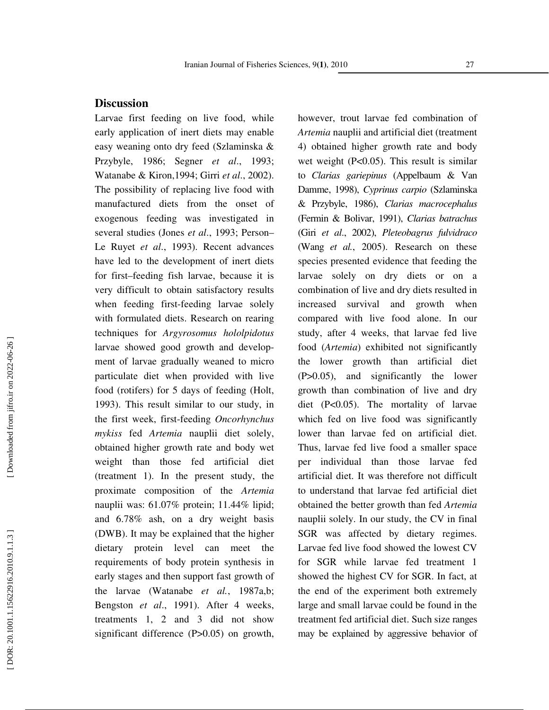## **Discussion**

Larvae first feeding on live food, while early application of inert diets may enable easy weaning onto dry feed (Szlaminska & Przybyle, 1986; Segner *et al*., 1993; Watanabe & Kiron,1994; Girri *et al*., 2002). The possibility of replacing live food with manufactured diets from the onset of exogenous feeding was investigated in several studies (Jones *et al*., 1993; Person– Le Ruyet *et al*., 1993). Recent advances have led to the development of inert diets for first–feeding fish larvae, because it is very difficult to obtain satisfactory results when feeding first-feeding larvae solely with formulated diets. Research on rearing techniques for *Argyrosomus hololpidotus* larvae showed good growth and development of larvae gradually weaned to micro particulate diet when provided with live food (rotifers) for 5 days of feeding (Holt, 1993). This result similar to our study, in the first week, first-feeding *Oncorhynchus mykiss* fed *Artemia* nauplii diet solely, obtained higher growth rate and body wet weight than those fed artificial diet (treatment 1). In the present study, the proximate composition of the *Artemia* nauplii was: 61.07% protein; 11.44% lipid; and 6.78% ash, on a dry weight basis (DWB). It may be explained that the higher dietary protein level can meet the requirements of body protein synthesis in early stages and then support fast growth of the larvae (Watanabe *et al.*, 1987a,b; Bengston *et al*., 1991). After 4 weeks, treatments 1, 2 and 3 did not show significant difference (P>0.05) on growth,

however, trout larvae fed combination of *Artemia* nauplii and artificial diet (treatment 4) obtained higher growth rate and body wet weight (P<0.05). This result is similar to *Clarias gariepinus* (Appelbaum & Van Damme, 1998), *Cyprinus carpio* (Szlaminska & Przybyle, 1986), *Clarias macrocephalus* (Fermin & Bolivar, 1991), *Clarias batrachus* (Giri *et al*., 2002), *Pleteobagrus fulvidraco* (Wang *et al.*, 2005). Research on these species presented evidence that feeding the larvae solely on dry diets or on a combination of live and dry diets resulted in increased survival and growth when compared with live food alone. In our study, after 4 weeks, that larvae fed live food (*Artemia*) exhibited not significantly the lower growth than artificial diet (P>0.05), and significantly the lower growth than combination of live and dry diet (P<0.05). The mortality of larvae which fed on live food was significantly lower than larvae fed on artificial diet. Thus, larvae fed live food a smaller space per individual than those larvae fed artificial diet. It was therefore not difficult to understand that larvae fed artificial diet obtained the better growth than fed *Artemia* nauplii solely. In our study, the CV in final SGR was affected by dietary regimes. Larvae fed live food showed the lowest CV for SGR while larvae fed treatment 1 showed the highest CV for SGR. In fact, at the end of the experiment both extremely large and small larvae could be found in the treatment fed artificial diet. Such size ranges may be explained by aggressive behavior of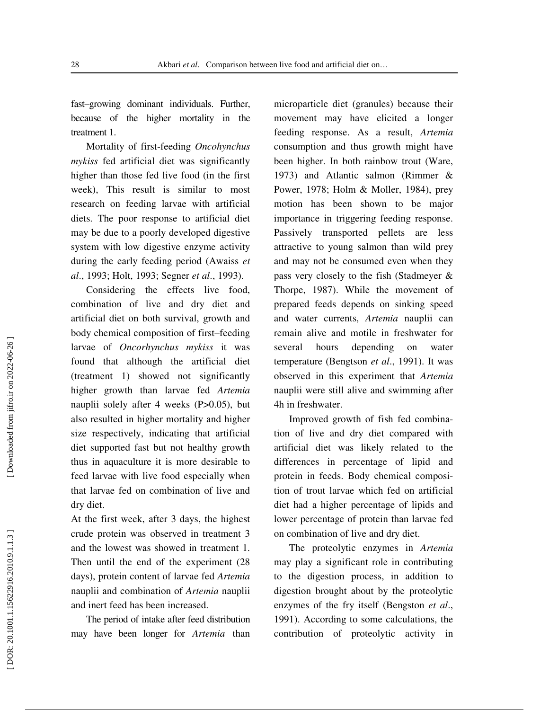fast–growing dominant individuals. Further, because of the higher mortality in the treatment 1.

Mortality of first-feeding *Oncohynchus mykiss* fed artificial diet was significantly higher than those fed live food (in the first week), This result is similar to most research on feeding larvae with artificial diets. The poor response to artificial diet may be due to a poorly developed digestive system with low digestive enzyme activity during the early feeding period (Awaiss *et al*., 1993; Holt, 1993; Segner *et al*., 1993).

Considering the effects live food, combination of live and dry diet and artificial diet on both survival, growth and body chemical composition of first–feeding larvae of *Oncorhynchus mykiss* it was found that although the artificial diet (treatment 1) showed not significantly higher growth than larvae fed *Artemia* nauplii solely after 4 weeks (P>0.05), but also resulted in higher mortality and higher size respectively, indicating that artificial diet supported fast but not healthy growth thus in aquaculture it is more desirable to feed larvae with live food especially when that larvae fed on combination of live and dry diet.

At the first week, after 3 days, the highest crude protein was observed in treatment 3 and the lowest was showed in treatment 1. Then until the end of the experiment (28 days), protein content of larvae fed *Artemia* nauplii and combination of *Artemia* nauplii and inert feed has been increased.

The period of intake after feed distribution may have been longer for *Artemia* than

microparticle diet (granules) because their movement may have elicited a longer feeding response. As a result, *Artemia* consumption and thus growth might have been higher. In both rainbow trout (Ware, 1973) and Atlantic salmon (Rimmer & Power, 1978; Holm & Moller, 1984), prey motion has been shown to be major importance in triggering feeding response. Passively transported pellets are less attractive to young salmon than wild prey and may not be consumed even when they pass very closely to the fish (Stadmeyer & Thorpe, 1987). While the movement of prepared feeds depends on sinking speed and water currents, *Artemia* nauplii can remain alive and motile in freshwater for several hours depending on water temperature (Bengtson *et al*., 1991). It was observed in this experiment that *Artemia* nauplii were still alive and swimming after 4h in freshwater.

Improved growth of fish fed combination of live and dry diet compared with artificial diet was likely related to the differences in percentage of lipid and protein in feeds. Body chemical composition of trout larvae which fed on artificial diet had a higher percentage of lipids and lower percentage of protein than larvae fed on combination of live and dry diet.

The proteolytic enzymes in *Artemia* may play a significant role in contributing to the digestion process, in addition to digestion brought about by the proteolytic enzymes of the fry itself (Bengston *et al*., 1991). According to some calculations, the contribution of proteolytic activity in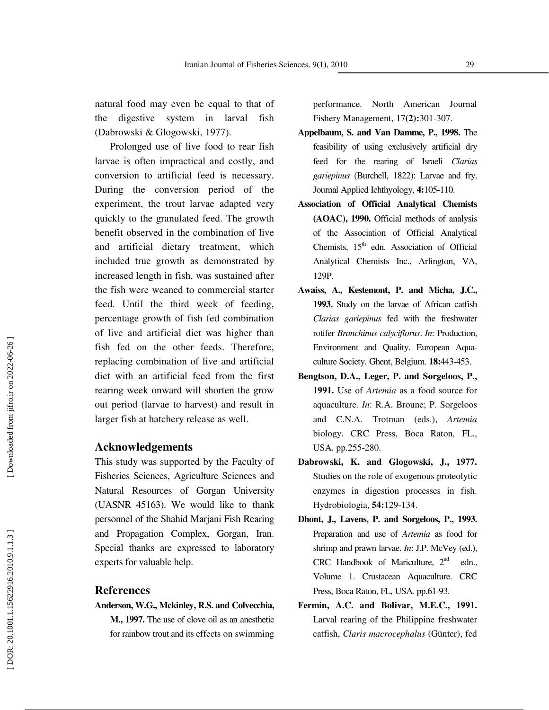natural food may even be equal to that of the digestive system in larval fish (Dabrowski & Glogowski, 1977).

Prolonged use of live food to rear fish larvae is often impractical and costly, and conversion to artificial feed is necessary. During the conversion period of the experiment, the trout larvae adapted very quickly to the granulated feed. The growth benefit observed in the combination of live and artificial dietary treatment, which included true growth as demonstrated by increased length in fish, was sustained after the fish were weaned to commercial starter feed. Until the third week of feeding, percentage growth of fish fed combination of live and artificial diet was higher than fish fed on the other feeds. Therefore, replacing combination of live and artificial diet with an artificial feed from the first rearing week onward will shorten the grow out period (larvae to harvest) and result in larger fish at hatchery release as well.

#### **Acknowledgements**

This study was supported by the Faculty of Fisheries Sciences, Agriculture Sciences and Natural Resources of Gorgan University (UASNR 45163). We would like to thank personnel of the Shahid Marjani Fish Rearing and Propagation Complex, Gorgan, Iran. Special thanks are expressed to laboratory experts for valuable help.

#### **References**

- **Anderson, W.G., Mckinley, R.S. and Colvecchia,** 
	- **M., 1997.** The use of clove oil as an anesthetic for rainbow trout and its effects on swimming

performance. North American Journal Fishery Management, 17**(2):**301-307.

- **Appelbaum, S. and Van Damme, P., 1998.** The feasibility of using exclusively artificial dry feed for the rearing of Israeli *Clarias gariepinus* (Burchell, 1822): Larvae and fry. Journal Applied Ichthyology, **4:**105-110.
- **Association of Official Analytical Chemists (AOAC), 1990.** Official methods of analysis of the Association of Official Analytical Chemists,  $15<sup>th</sup>$  edn. Association of Official Analytical Chemists Inc., Arlington, VA, 129P.
- **Awaiss, A., Kestemont, P. and Micha, J.C., 1993.** Study on the larvae of African catfish *Clarias gariepinus* fed with the freshwater rotifer *Branchinus calyciflorus*. *In*: Production, Environment and Quality. European Aquaculture Society. Ghent, Belgium. **18:**443-453.
- **Bengtson, D.A., Leger, P. and Sorgeloos, P., 1991.** Use of *Artemia* as a food source for aquaculture. *In*: R.A. Broune; P. Sorgeloos and C.N.A. Trotman (eds.), *Artemia* biology. CRC Press, Boca Raton, FL., USA. pp.255-280.
- **Dabrowski, K. and Glogowski, J., 1977.** Studies on the role of exogenous proteolytic enzymes in digestion processes in fish. Hydrobiologia, **54:**129-134.
- **Dhont, J., Lavens, P. and Sorgeloos, P., 1993.** Preparation and use of *Artemia* as food for shrimp and prawn larvae. *In*: J.P. McVey (ed.), CRC Handbook of Mariculture,  $2<sup>nd</sup>$  edn., Volume 1. Crustacean Aquaculture. CRC Press, Boca Raton, FL, USA. pp.61-93.
- **Fermin, A.C. and Bolivar, M.E.C., 1991.** Larval rearing of the Philippine freshwater catfish, *Claris macrocephalus* (Günter), fed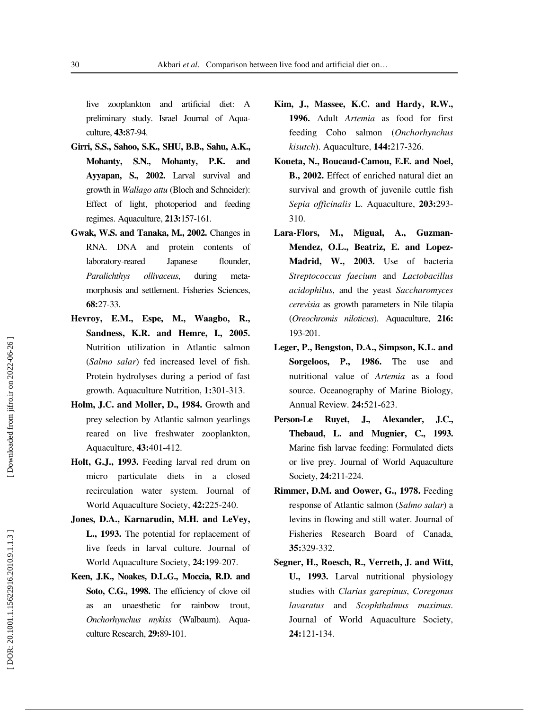live zooplankton and artificial diet: A preliminary study. Israel Journal of Aquaculture, **43:**87-94.

- **Girri, S.S., Sahoo, S.K., SHU, B.B., Sahu, A.K., Mohanty, S.N., Mohanty, P.K. and Ayyapan, S., 2002.** Larval survival and growth in *Wallago attu* (Bloch and Schneider): Effect of light, photoperiod and feeding regimes. Aquaculture, **213:**157-161.
- **Gwak, W.S. and Tanaka, M., 2002.** Changes in RNA. DNA and protein contents of laboratory-reared Japanese flounder, *Paralichthys ollivaceus*, during metamorphosis and settlement. Fisheries Sciences, **68:**27-33.
- **Hevroy, E.M., Espe, M., Waagbo, R., Sandness, K.R. and Hemre, I., 2005.** Nutrition utilization in Atlantic salmon (*Salmo salar*) fed increased level of fish. Protein hydrolyses during a period of fast growth. Aquaculture Nutrition, **1:**301-313.
- **Holm, J.C. and Moller, D., 1984.** Growth and prey selection by Atlantic salmon yearlings reared on live freshwater zooplankton, Aquaculture, **43:**401-412.
- **Holt, G.J., 1993.** Feeding larval red drum on micro particulate diets in a closed recirculation water system. Journal of World Aquaculture Society, **42:**225-240.
- **Jones, D.A., Karnarudin, M.H. and LeVey, L., 1993.** The potential for replacement of live feeds in larval culture. Journal of World Aquaculture Society, **24:**199-207.
- **Keen, J.K., Noakes, D.L.G., Moccia, R.D. and Soto, C.G., 1998.** The efficiency of clove oil as an unaesthetic for rainbow trout, *Onchorhynchus mykiss* (Walbaum). Aquaculture Research, **29:**89-101.
- **Kim, J., Massee, K.C. and Hardy, R.W., 1996.** Adult *Artemia* as food for first feeding Coho salmon (*Onchorhynchus kisutch*). Aquaculture, **144:**217-326.
- **Koueta, N., Boucaud-Camou, E.E. and Noel, B., 2002.** Effect of enriched natural diet an survival and growth of juvenile cuttle fish *Sepia officinalis* L. Aquaculture, **203:**293- 310.
- **Lara-Flors, M., Migual, A., Guzman-Mendez, O.L., Beatriz, E. and Lopez-Madrid, W., 2003.** Use of bacteria *Streptococcus faecium* and *Lactobacillus acidophilus*, and the yeast *Saccharomyces cerevisia* as growth parameters in Nile tilapia (*Oreochromis niloticus*). Aquaculture, **216:** 193-201.
- **Leger, P., Bengston, D.A., Simpson, K.L. and Sorgeloos, P., 1986.** The use and nutritional value of *Artemia* as a food source. Oceanography of Marine Biology, Annual Review. **24:**521-623.
- **Person-Le Ruyet, J., Alexander, J.C., Thebaud, L. and Mugnier, C., 1993.** Marine fish larvae feeding: Formulated diets or live prey. Journal of World Aquaculture Society, **24:**211-224.
- **Rimmer, D.M. and Oower, G., 1978.** Feeding response of Atlantic salmon (*Salmo salar*) a levins in flowing and still water. Journal of Fisheries Research Board of Canada, **35:**329-332.
- **Segner, H., Roesch, R., Verreth, J. and Witt, U., 1993.** Larval nutritional physiology studies with *Clarias garepinus*, *Coregonus lavaratus* and *Scophthalmus maximus*. Journal of World Aquaculture Society, **24:**121-134.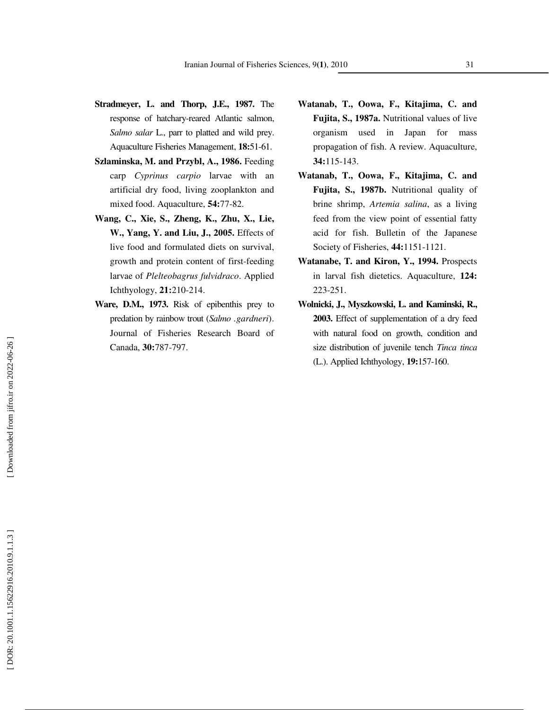- **Stradmeyer, L. and Thorp, J.E., 1987.** The response of hatchary-reared Atlantic salmon, *Salmo salar* L., parr to platted and wild prey. Aquaculture Fisheries Management, **18:**51-61.
- **Szlaminska, M. and Przybl, A., 1986.** Feeding carp *Cyprinus carpio* larvae with an artificial dry food, living zooplankton and mixed food. Aquaculture, **54:**77-82.
- **Wang, C., Xie, S., Zheng, K., Zhu, X., Lie, W., Yang, Y. and Liu, J., 2005.** Effects of live food and formulated diets on survival, growth and protein content of first-feeding larvae of *Plelteobagrus fulvidraco*. Applied Ichthyology, **21:**210-214.
- **Ware, D.M., 1973.** Risk of epibenthis prey to predation by rainbow trout (*Salmo .gardneri*). Journal of Fisheries Research Board of Canada, **30:**787-797.
- **Watanab, T., Oowa, F., Kitajima, C. and Fujita, S., 1987a.** Nutritional values of live organism used in Japan for mass propagation of fish. A review. Aquaculture, **34:**115-143.
- **Watanab, T., Oowa, F., Kitajima, C. and Fujita, S., 1987b.** Nutritional quality of brine shrimp, *Artemia salina*, as a living feed from the view point of essential fatty acid for fish. Bulletin of the Japanese Society of Fisheries, **44:**1151-1121.
- **Watanabe, T. and Kiron, Y., 1994.** Prospects in larval fish dietetics. Aquaculture, **124:** 223-251.
- **Wolnicki, J., Myszkowski, L. and Kaminski, R., 2003.** Effect of supplementation of a dry feed with natural food on growth, condition and size distribution of juvenile tench *Tinca tinca* (L.). Applied Ichthyology, **19:**157-160.